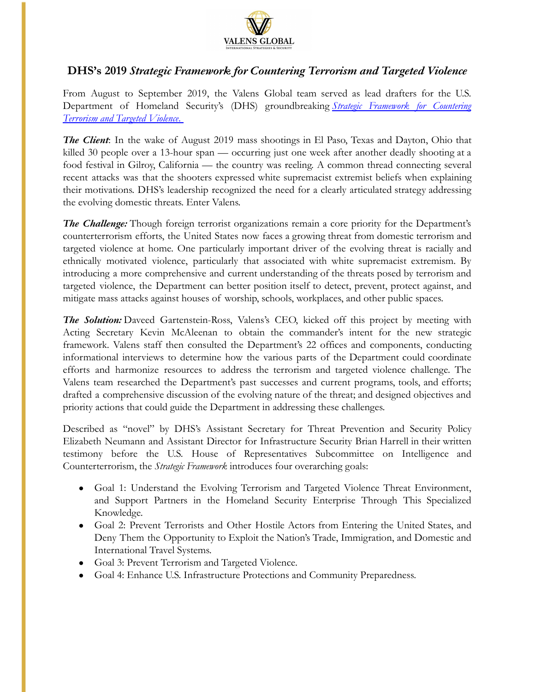

## **DHS's 2019** *Strategic Framework for Countering Terrorism and Targeted Violence*

From August to September 2019, the Valens Global team served as lead drafters for the U.S. Department of Homeland Security's (DHS) groundbreaking *Strategic Framework for Countering Terrorism and Targeted Violence*.

*The Client*: In the wake of August 2019 mass shootings in El Paso, Texas and Dayton, Ohio that killed 30 people over a 13-hour span — occurring just one week after another deadly shooting at a food festival in Gilroy, California — the country was reeling. A common thread connecting several recent attacks was that the shooters expressed white supremacist extremist beliefs when explaining their motivations. DHS's leadership recognized the need for a clearly articulated strategy addressing the evolving domestic threats. Enter Valens.

*The Challenge:* Though foreign terrorist organizations remain a core priority for the Department's counterterrorism efforts, the United States now faces a growing threat from domestic terrorism and targeted violence at home. One particularly important driver of the evolving threat is racially and ethnically motivated violence, particularly that associated with white supremacist extremism. By introducing a more comprehensive and current understanding of the threats posed by terrorism and targeted violence, the Department can better position itself to detect, prevent, protect against, and mitigate mass attacks against houses of worship, schools, workplaces, and other public spaces.

*The Solution:* Daveed Gartenstein-Ross, Valens's CEO, kicked off this project by meeting with Acting Secretary Kevin McAleenan to obtain the commander's intent for the new strategic framework. Valens staff then consulted the Department's 22 offices and components, conducting informational interviews to determine how the various parts of the Department could coordinate efforts and harmonize resources to address the terrorism and targeted violence challenge. The Valens team researched the Department's past successes and current programs, tools, and efforts; drafted a comprehensive discussion of the evolving nature of the threat; and designed objectives and priority actions that could guide the Department in addressing these challenges.

Described as "novel" by DHS's Assistant Secretary for Threat Prevention and Security Policy Elizabeth Neumann and Assistant Director for Infrastructure Security Brian Harrell in their written testimony before the U.S. House of Representatives Subcommittee on Intelligence and Counterterrorism, the *Strategic Framework* introduces four overarching goals:

- Goal 1: Understand the Evolving Terrorism and Targeted Violence Threat Environment, and Support Partners in the Homeland Security Enterprise Through This Specialized Knowledge.
- Goal 2: Prevent Terrorists and Other Hostile Actors from Entering the United States, and Deny Them the Opportunity to Exploit the Nation's Trade, Immigration, and Domestic and International Travel Systems.
- Goal 3: Prevent Terrorism and Targeted Violence.
- Goal 4: Enhance U.S. Infrastructure Protections and Community Preparedness.